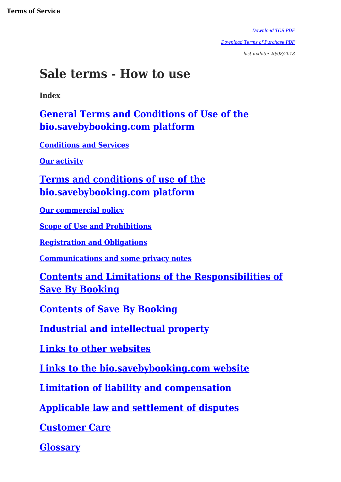*[Download TOS PDF](http://www.bio.savebybooking.co.uk/site/download-tos-customer-pdf)*

*[Download Terms of Purchase PDF](http://www.bio.savebybooking.co.uk/site/download-purchase-terms-pdf)*

*last update: 20/08/2018*

# **Sale terms - How to use**

**Index**

**[General Terms and Conditions of Use of the](#id.fenaen6vfcn) [bio.savebybooking.com platform](#id.fenaen6vfcn)**

**[Conditions and Services](#id.ahrblni1geuy)**

**[Our activity](#id.xoflsvmo2zyy)**

**[Terms and conditions of use of the](#id.d9t5xcteoutc) [bio.savebybooking.com platform](#id.d9t5xcteoutc)**

**[Our commercial policy](#id.jco038liambj)**

**[Scope of Use and Prohibitions](#id.22mr5ufo8jy8)**

**[Registration and Obligations](#h.dxv85ywk7qb5)**

**[Communications and some privacy notes](#h.moxpyn2nz1jf)**

**[Contents and Limitations of the Responsibilities of](#h.g92k36mxs536) [Save By Booking](#h.g92k36mxs536)**

**[Contents of Save By Booking](#h.blttpfd126j5)**

**[Industrial and intellectual property](#h.s9jp8m24z4o)**

**[Links to other websites](#h.wa26o8w822p7)**

**[Links to the bio.savebybooking.com website](#h.x5t2o22rlsty)**

**[Limitation of liability and compensation](#h.i3nwjf3kfhor)**

**[Applicable law and settlement of disputes](#h.9tzm5lqs7za3)**

**[Customer Care](#h.p771z5wz4ivc)**

**[Glossary](#page--1-0)**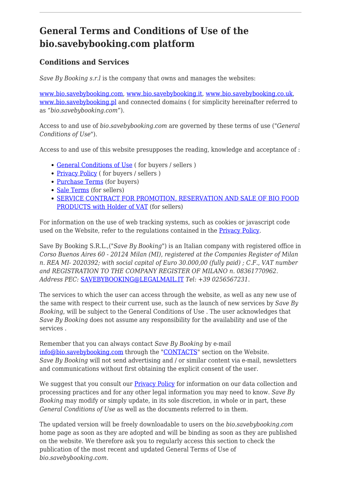### **General Terms and Conditions of Use of the bio.savebybooking.com platform**

#### **Conditions and Services**

*Save By Booking s.r.l* is the company that owns and manages the websites:

[www.bio.savebybooking.com,](https://www.bio.savebybooking.com) [www.bio.savebybooking.it](https://www.bio.savebybooking.it), [www.bio.savebybooking.co.uk](https://www.bio.savebybooking.co.uk), [www.bio.savebybooking.pl](https://www.bio.savebybooking.pl) and connected domains (for simplicity hereinafter referred to as *"bio.savebybooking.com"*).

Access to and use of *bio.savebybooking.com* are governed by these terms of use (*"General Conditions of Use"*).

Access to and use of this website presupposes the reading, knowledge and acceptance of :

- [General Conditions of Use](http://www.bio.savebybooking.co.uk/site/download-tos-customer-pdf) ( for buyers / sellers )
- [Privacy Policy](http://www.bio.savebybooking.co.uk/site/download-privacy-pdf) ( for buyers / sellers )
- [Purchase Terms](http://www.bio.savebybooking.co.uk/site/download-purchase-terms-pdf) (for buyers)
- [Sale Terms](http://www.bio.savebybooking.co.uk/site/download-sale-terms-pdf) (for sellers)
- **[SERVICE CONTRACT FOR PROMOTION, RESERVATION AND SALE OF BIO FOOD](#page--1-0)** [PRODUCTS with Holder of VAT](#page--1-0) (for sellers)

For information on the use of web tracking systems, such as cookies or javascript code used on the Website, refer to the regulations contained in the **[Privacy Policy](#page--1-0)**.

Save By Booking S.R.L.,(*"Save By Booking"*) is an Italian company with registered office in *Corso Buenos Aires 60 - 20124 Milan (MI), registered at the Companies Register of Milan n. REA MI- 2020392; with social capital of Euro 30.000,00 (fully paid) ; C.F., VAT number and REGISTRATION TO THE COMPANY REGISTER OF MILANO n. 08361770962. Address PEC:* [SAVEBYBOOKING@LEGALMAIL.IT](mailto:SAVEBYBOOKING@LEGALMAIL.IT) *Tel: +39 0256567231*.

The services to which the user can access through the website, as well as any new use of the same with respect to their current use, such as the launch of new services by *Save By Booking*, will be subject to the General Conditions of Use . The user acknowledges that *Save By Booking* does not assume any responsibility for the availability and use of the services .

Remember that you can always contact *Save By Booking* by e-mail [info@bio.savebybooking.com](mailto:info@bio.savebybooking.com) through the "[CONTACTS"](#page--1-0) section on the Website. *Save By Booking* will not send advertising and / or similar content via e-mail, newsletters and communications without first obtaining the explicit consent of the user.

We suggest that you consult our **[Privacy Policy](#page--1-0)** for information on our data collection and processing practices and for any other legal information you may need to know. *Save By Booking* may modify or simply update, in its sole discretion, in whole or in part, these *General Conditions of Use* as well as the documents referred to in them.

The updated version will be freely downloadable to users on the *bio.savebybooking.com* home page as soon as they are adopted and will be binding as soon as they are published on the website. We therefore ask you to regularly access this section to check the publication of the most recent and updated General Terms of Use of *bio.savebybooking.com*.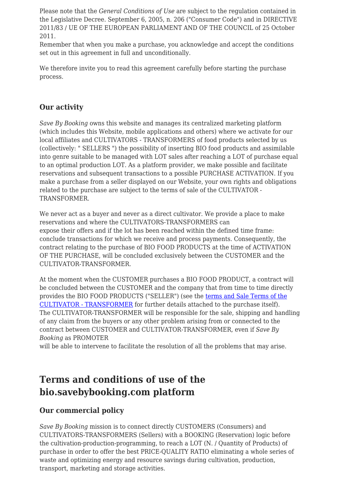Please note that the *General Conditions of Use* are subject to the regulation contained in the Legislative Decree. September 6, 2005, n. 206 ("Consumer Code") and in DIRECTIVE 2011/83 / UE OF THE EUROPEAN PARLIAMENT AND OF THE COUNCIL of 25 October 2011.

Remember that when you make a purchase, you acknowledge and accept the conditions set out in this agreement in full and unconditionally.

We therefore invite you to read this agreement carefully before starting the purchase process.

#### **Our activity**

*Save By Booking* owns this website and manages its centralized marketing platform (which includes this Website, mobile applications and others) where we activate for our local affiliates and CULTIVATORS - TRANSFORMERS of food products selected by us (collectively: " SELLERS ") the possibility of inserting BIO food products and assimilable into genre suitable to be managed with LOT sales after reaching a LOT of purchase equal to an optimal production LOT. As a platform provider, we make possible and facilitate reservations and subsequent transactions to a possible PURCHASE ACTIVATION. If you make a purchase from a seller displayed on our Website, your own rights and obligations related to the purchase are subject to the terms of sale of the CULTIVATOR - TRANSFORMER.

We never act as a buyer and never as a direct cultivator. We provide a place to make reservations and where the CULTIVATORS-TRANSFORMERS can expose their offers and if the lot has been reached within the defined time frame: conclude transactions for which we receive and process payments. Consequently, the contract relating to the purchase of BIO FOOD PRODUCTS at the time of ACTIVATION OF THE PURCHASE, will be concluded exclusively between the CUSTOMER and the CULTIVATOR-TRANSFORMER.

At the moment when the CUSTOMER purchases a BIO FOOD PRODUCT, a contract will be concluded between the CUSTOMER and the company that from time to time directly provides the BIO FOOD PRODUCTS ("SELLER") (see the [terms and Sale Terms of the](#page--1-0) [CULTIVATOR - TRANSFORMER](#page--1-0) for further details attached to the purchase itself). The CULTIVATOR-TRANSFORMER will be responsible for the sale, shipping and handling of any claim from the buyers or any other problem arising from or connected to the contract between CUSTOMER and CULTIVATOR-TRANSFORMER, even if *Save By Booking* as PROMOTER

will be able to intervene to facilitate the resolution of all the problems that may arise.

### **Terms and conditions of use of the bio.savebybooking.com platform**

#### **Our commercial policy**

*Save By Booking* mission is to connect directly CUSTOMERS (Consumers) and CULTIVATORS-TRANSFORMERS (Sellers) with a BOOKING (Reservation) logic before the cultivation-production-programming, to reach a LOT (N. / Quantity of Products) of purchase in order to offer the best PRICE-QUALITY RATIO eliminating a whole series of waste and optimizing energy and resource savings during cultivation, production, transport, marketing and storage activities.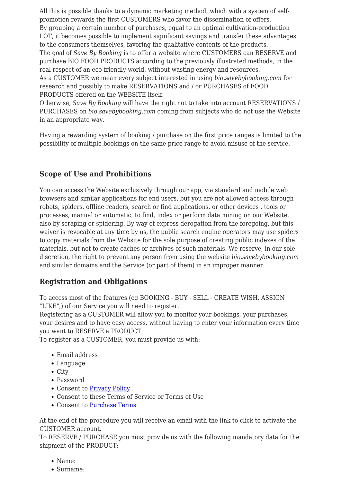All this is possible thanks to a dynamic marketing method, which with a system of selfpromotion rewards the first CUSTOMERS who favor the dissemination of offers. By grouping a certain number of purchases, equal to an optimal cultivation-production LOT, it becomes possible to implement significant savings and transfer these advantages to the consumers themselves, favoring the qualitative contents of the products. The goal of *Save By Booking* is to offer a website where CUSTOMERS can RESERVE and purchase BIO FOOD PRODUCTS according to the previously illustrated methods, in the real respect of an eco-friendly world, without wasting energy and resources. As a CUSTOMER we mean every subject interested in using *bio.savebybooking.com* for research and possibly to make RESERVATIONS and / or PURCHASES of FOOD PRODUCTS offered on the WEBSITE itself.

Otherwise, *Save By Booking* will have the right not to take into account RESERVATIONS / PURCHASES on *bio.savebybooking.com* coming from subjects who do not use the Website in an appropriate way.

Having a rewarding system of booking / purchase on the first price ranges is limited to the possibility of multiple bookings on the same price range to avoid misuse of the service.

#### **Scope of Use and Prohibitions**

You can access the Website exclusively through our app, via standard and mobile web browsers and similar applications for end users, but you are not allowed access through robots, spiders, offline readers, search or find applications, or other devices , tools or processes, manual or automatic, to find, index or perform data mining on our Website, also by scraping or spidering. By way of express derogation from the foregoing, but this waiver is revocable at any time by us, the public search engine operators may use spiders to copy materials from the Website for the sole purpose of creating public indexes of the materials, but not to create caches or archives of such materials. We reserve, in our sole discretion, the right to prevent any person from using the website *bio.savebybooking.com* and similar domains and the Service (or part of them) in an improper manner.

#### **Registration and Obligations**

To access most of the features (eg BOOKING - BUY - SELL - CREATE WISH, ASSIGN "LIKE",) of our Service you will need to register.

Registering as a CUSTOMER will allow you to monitor your bookings, your purchases, your desires and to have easy access, without having to enter your information every time you want to RESERVE a PRODUCT.

To register as a CUSTOMER, you must provide us with:

- Email address
- Language
- City
- Password
- Consent to [Privacy Policy](#page--1-0)
- Consent to these Terms of Service or Terms of Use
- Consent to [Purchase Terms](#page--1-0)

At the end of the procedure you will receive an email with the link to click to activate the CUSTOMER account.

To RESERVE / PURCHASE you must provide us with the following mandatory data for the shipment of the PRODUCT:

- Name:
- Surname: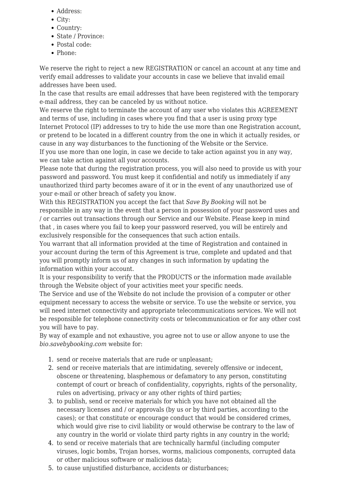- Address:
- City:
- Country:
- State / Province:
- Postal code:
- Phone:

We reserve the right to reject a new REGISTRATION or cancel an account at any time and verify email addresses to validate your accounts in case we believe that invalid email addresses have been used.

In the case that results are email addresses that have been registered with the temporary e-mail address, they can be canceled by us without notice.

We reserve the right to terminate the account of any user who violates this AGREEMENT and terms of use, including in cases where you find that a user is using proxy type Internet Protocol (IP) addresses to try to hide the use more than one Registration account, or pretend to be located in a different country from the one in which it actually resides, or cause in any way disturbances to the functioning of the Website or the Service.

If you use more than one login, in case we decide to take action against you in any way, we can take action against all your accounts.

Please note that during the registration process, you will also need to provide us with your password and password. You must keep it confidential and notify us immediately if any unauthorized third party becomes aware of it or in the event of any unauthorized use of your e-mail or other breach of safety you know.

With this REGISTRATION you accept the fact that *Save By Booking* will not be responsible in any way in the event that a person in possession of your password uses and / or carries out transactions through our Service and our Website. Please keep in mind that , in cases where you fail to keep your password reserved, you will be entirely and exclusively responsible for the consequences that such action entails.

You warrant that all information provided at the time of Registration and contained in your account during the term of this Agreement is true, complete and updated and that you will promptly inform us of any changes in such information by updating the information within your account.

It is your responsibility to verify that the PRODUCTS or the information made available through the Website object of your activities meet your specific needs.

The Service and use of the Website do not include the provision of a computer or other equipment necessary to access the website or service. To use the website or service, you will need internet connectivity and appropriate telecommunications services. We will not be responsible for telephone connectivity costs or telecommunication or for any other cost you will have to pay.

By way of example and not exhaustive, you agree not to use or allow anyone to use the *bio.savebybooking.com* website for:

- 1. send or receive materials that are rude or unpleasant;
- 2. send or receive materials that are intimidating, severely offensive or indecent, obscene or threatening, blasphemous or defamatory to any person, constituting contempt of court or breach of confidentiality, copyrights, rights of the personality, rules on advertising, privacy or any other rights of third parties;
- 3. to publish, send or receive materials for which you have not obtained all the necessary licenses and / or approvals (by us or by third parties, according to the cases); or that constitute or encourage conduct that would be considered crimes, which would give rise to civil liability or would otherwise be contrary to the law of any country in the world or violate third party rights in any country in the world;
- 4. to send or receive materials that are technically harmful (including computer viruses, logic bombs, Trojan horses, worms, malicious components, corrupted data or other malicious software or malicious data);
- 5. to cause unjustified disturbance, accidents or disturbances;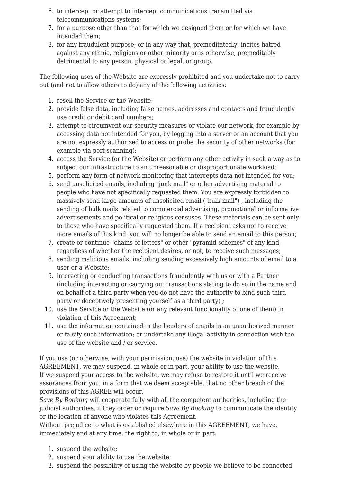- 6. to intercept or attempt to intercept communications transmitted via telecommunications systems;
- 7. for a purpose other than that for which we designed them or for which we have intended them;
- 8. for any fraudulent purpose; or in any way that, premeditatedly, incites hatred against any ethnic, religious or other minority or is otherwise, premeditably detrimental to any person, physical or legal, or group.

The following uses of the Website are expressly prohibited and you undertake not to carry out (and not to allow others to do) any of the following activities:

- 1. resell the Service or the Website;
- 2. provide false data, including false names, addresses and contacts and fraudulently use credit or debit card numbers;
- 3. attempt to circumvent our security measures or violate our network, for example by accessing data not intended for you, by logging into a server or an account that you are not expressly authorized to access or probe the security of other networks (for example via port scanning);
- 4. access the Service (or the Website) or perform any other activity in such a way as to subject our infrastructure to an unreasonable or disproportionate workload;
- 5. perform any form of network monitoring that intercepts data not intended for you;
- 6. send unsolicited emails, including "junk mail" or other advertising material to people who have not specifically requested them. You are expressly forbidden to massively send large amounts of unsolicited email ("bulk mail") , including the sending of bulk mails related to commercial advertising, promotional or informative advertisements and political or religious censuses. These materials can be sent only to those who have specifically requested them. If a recipient asks not to receive more emails of this kind, you will no longer be able to send an email to this person;
- 7. create or continue "chains of letters" or other "pyramid schemes" of any kind, regardless of whether the recipient desires, or not, to receive such messages;
- 8. sending malicious emails, including sending excessively high amounts of email to a user or a Website;
- 9. interacting or conducting transactions fraudulently with us or with a Partner (including interacting or carrying out transactions stating to do so in the name and on behalf of a third party when you do not have the authority to bind such third party or deceptively presenting yourself as a third party) ;
- 10. use the Service or the Website (or any relevant functionality of one of them) in violation of this Agreement;
- 11. use the information contained in the headers of emails in an unauthorized manner or falsify such information; or undertake any illegal activity in connection with the use of the website and / or service.

If you use (or otherwise, with your permission, use) the website in violation of this AGREEMENT, we may suspend, in whole or in part, your ability to use the website. If we suspend your access to the website, we may refuse to restore it until we receive assurances from you, in a form that we deem acceptable, that no other breach of the provisions of this AGREE will occur.

*Save By Booking* will cooperate fully with all the competent authorities, including the judicial authorities, if they order or require *Save By Booking* to communicate the identity or the location of anyone who violates this Agreement.

Without prejudice to what is established elsewhere in this AGREEMENT, we have, immediately and at any time, the right to, in whole or in part:

- 1. suspend the website;
- 2. suspend your ability to use the website;
- 3. suspend the possibility of using the website by people we believe to be connected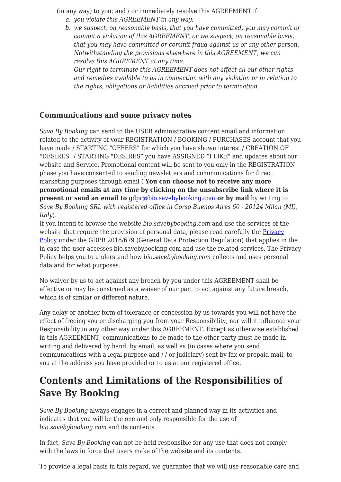(in any way) to you; and / or immediately resolve this AGREEMENT if:

- *a. you violate this AGREEMENT in any way;*
- *b. we suspect, on reasonable basis, that you have committed, you may commit or commit a violation of this AGREEMENT; or we suspect, on reasonable basis, that you may have committed or commit fraud against us or any other person. Notwithstanding the provisions elsewhere in this AGREEMENT, we can resolve this AGREEMENT at any time.*

*Our right to terminate this AGREEMENT does not affect all our other rights and remedies available to us in connection with any violation or in relation to the rights, obligations or liabilities accrued prior to termination.*

#### **Communications and some privacy notes**

*Save By Booking* can send to the USER administrative content email and information related to the activity of your REGISTRATION / BOOKING / PURCHASES account that you have made / STARTING "OFFERS" for which you have shown interest / CREATION OF "DESIRES" / STARTING "DESIRES" you have ASSIGNED "I LIKE" and updates about our website and Service. Promotional content will be sent to you only in the REGISTRATION phase you have consented to sending newsletters and communications for direct marketing purposes through email ( **You can choose not to receive any more promotional emails at any time by clicking on the unsubscribe link where it is present or send an email to**  $qdp \otimes qdp \otimes qdp$  **by by and by writing to** *Save By Booking SRL with registered office in Corso Buenos Aires 60 - 20124 Milan (MI), Italy*).

If you intend to browse the website *bio.savebybooking.com* and use the services of the website that require the provision of personal data, please read carefully the **[Privacy](#page--1-0)** [Policy](#page--1-0) under the GDPR 2016/679 (General Data Protection Regulation) that applies in the in case the user accesses bio.savebybooking.com and use the related services. The Privacy Policy helps you to understand how *bio.savebybooking.com* collects and uses personal data and for what purposes.

No waiver by us to act against any breach by you under this AGREEMENT shall be effective or may be construed as a waiver of our part to act against any future breach, which is of similar or different nature.

Any delay or another form of tolerance or concession by us towards you will not have the effect of freeing you or discharging you from your Responsibility, nor will it influence your Responsibility in any other way under this AGREEMENT. Except as otherwise established in this AGREEMENT, communications to be made to the other party must be made in writing and delivered by hand, by email, as well as (in cases where you send communications with a legal purpose and / / or judiciary) sent by fax or prepaid mail, to you at the address you have provided or to us at our registered office.

## **Contents and Limitations of the Responsibilities of Save By Booking**

*Save By Booking* always engages in a correct and planned way in its activities and indicates that you will be the one and only responsible for the use of *bio.savebybooking.com* and its contents.

In fact, *Save By Booking* can not be held responsible for any use that does not comply with the laws in force that users make of the website and its contents.

To provide a legal basis in this regard, we guarantee that we will use reasonable care and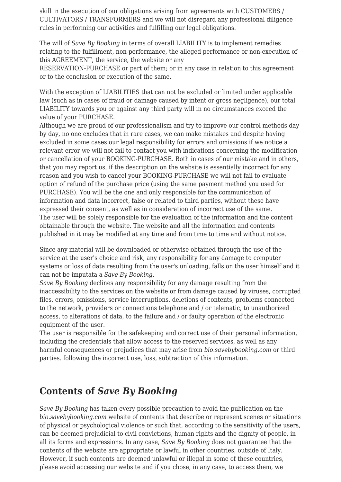skill in the execution of our obligations arising from agreements with CUSTOMERS / CULTIVATORS / TRANSFORMERS and we will not disregard any professional diligence rules in performing our activities and fulfilling our legal obligations.

The will of *Save By Booking* in terms of overall LIABILITY is to implement remedies relating to the fulfillment, non-performance, the alleged performance or non-execution of this AGREEMENT, the service, the website or any

RESERVATION-PURCHASE or part of them; or in any case in relation to this agreement or to the conclusion or execution of the same.

With the exception of LIABILITIES that can not be excluded or limited under applicable law (such as in cases of fraud or damage caused by intent or gross negligence), our total LIABILITY towards you or against any third party will in no circumstances exceed the value of your PURCHASE.

Although we are proud of our professionalism and try to improve our control methods day by day, no one excludes that in rare cases, we can make mistakes and despite having excluded in some cases our legal responsibility for errors and omissions if we notice a relevant error we will not fail to contact you with indications concerning the modification or cancellation of your BOOKING-PURCHASE. Both in cases of our mistake and in others, that you may report us, if the description on the website is essentially incorrect for any reason and you wish to cancel your BOOKING-PURCHASE we will not fail to evaluate option of refund of the purchase price (using the same payment method you used for PURCHASE). You will be the one and only responsible for the communication of information and data incorrect, false or related to third parties, without these have expressed their consent, as well as in consideration of incorrect use of the same. The user will be solely responsible for the evaluation of the information and the content obtainable through the website. The website and all the information and contents published in it may be modified at any time and from time to time and without notice.

Since any material will be downloaded or otherwise obtained through the use of the service at the user's choice and risk, any responsibility for any damage to computer systems or loss of data resulting from the user's unloading, falls on the user himself and it can not be imputata a *Save By Booking*.

*Save By Booking* declines any responsibility for any damage resulting from the inaccessibility to the services on the website or from damage caused by viruses, corrupted files, errors, omissions, service interruptions, deletions of contents, problems connected to the network, providers or connections telephone and / or telematic, to unauthorized access, to alterations of data, to the failure and / or faulty operation of the electronic equipment of the user.

The user is responsible for the safekeeping and correct use of their personal information, including the credentials that allow access to the reserved services, as well as any harmful consequences or prejudices that may arise from *bio.savebybooking.com* or third parties. following the incorrect use, loss, subtraction of this information.

### **Contents of** *Save By Booking*

*Save By Booking* has taken every possible precaution to avoid the publication on the *bio.savebybooking.com* website of contents that describe or represent scenes or situations of physical or psychological violence or such that, according to the sensitivity of the users, can be deemed prejudicial to civil convictions, human rights and the dignity of people, in all its forms and expressions. In any case, *Save By Booking* does not guarantee that the contents of the website are appropriate or lawful in other countries, outside of Italy. However, if such contents are deemed unlawful or illegal in some of these countries, please avoid accessing our website and if you chose, in any case, to access them, we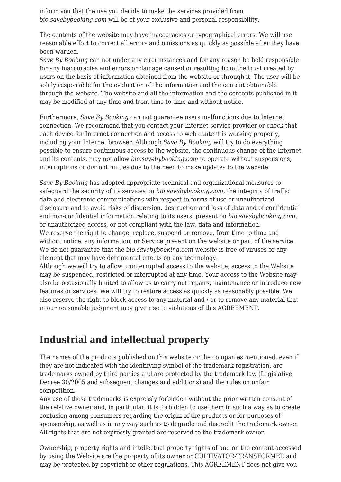inform you that the use you decide to make the services provided from *bio.savebybooking.com* will be of your exclusive and personal responsibility.

The contents of the website may have inaccuracies or typographical errors. We will use reasonable effort to correct all errors and omissions as quickly as possible after they have been warned.

*Save By Booking* can not under any circumstances and for any reason be held responsible for any inaccuracies and errors or damage caused or resulting from the trust created by users on the basis of information obtained from the website or through it. The user will be solely responsible for the evaluation of the information and the content obtainable through the website. The website and all the information and the contents published in it may be modified at any time and from time to time and without notice.

Furthermore, *Save By Booking* can not guarantee users malfunctions due to Internet connection. We recommend that you contact your Internet service provider or check that each device for Internet connection and access to web content is working properly, including your Internet browser. Although *Save By Booking* will try to do everything possible to ensure continuous access to the website, the continuous change of the Internet and its contents, may not allow *bio.savebybooking.com* to operate without suspensions, interruptions or discontinuities due to the need to make updates to the website.

*Save By Booking* has adopted appropriate technical and organizational measures to safeguard the security of its services on *bio.savebybooking.com*, the integrity of traffic data and electronic communications with respect to forms of use or unauthorized disclosure and to avoid risks of dispersion, destruction and loss of data and of confidential and non-confidential information relating to its users, present on *bio.savebybooking.com*, or unauthorized access, or not compliant with the law, data and information. We reserve the right to change, replace, suspend or remove, from time to time and without notice, any information, or Service present on the website or part of the service. We do not guarantee that the *bio.savebybooking.com* website is free of viruses or any element that may have detrimental effects on any technology.

Although we will try to allow uninterrupted access to the website, access to the Website may be suspended, restricted or interrupted at any time. Your access to the Website may also be occasionally limited to allow us to carry out repairs, maintenance or introduce new features or services. We will try to restore access as quickly as reasonably possible. We also reserve the right to block access to any material and / or to remove any material that in our reasonable judgment may give rise to violations of this AGREEMENT.

### **Industrial and intellectual property**

The names of the products published on this website or the companies mentioned, even if they are not indicated with the identifying symbol of the trademark registration, are trademarks owned by third parties and are protected by the trademark law (Legislative Decree 30/2005 and subsequent changes and additions) and the rules on unfair competition.

Any use of these trademarks is expressly forbidden without the prior written consent of the relative owner and, in particular, it is forbidden to use them in such a way as to create confusion among consumers regarding the origin of the products or for purposes of sponsorship, as well as in any way such as to degrade and discredit the trademark owner. All rights that are not expressly granted are reserved to the trademark owner.

Ownership, property rights and intellectual property rights of and on the content accessed by using the Website are the property of its owner or CULTIVATOR-TRANSFORMER and may be protected by copyright or other regulations. This AGREEMENT does not give you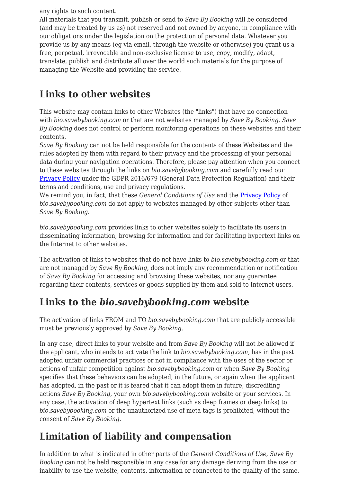any rights to such content.

All materials that you transmit, publish or send to *Save By Booking* will be considered (and may be treated by us as) not reserved and not owned by anyone, in compliance with our obligations under the legislation on the protection of personal data. Whatever you provide us by any means (eg via email, through the website or otherwise) you grant us a free, perpetual, irrevocable and non-exclusive license to use, copy, modify, adapt, translate, publish and distribute all over the world such materials for the purpose of managing the Website and providing the service.

### **Links to other websites**

This website may contain links to other Websites (the "links") that have no connection with *bio.savebybooking.com* or that are not websites managed by *Save By Booking*. *Save By Booking* does not control or perform monitoring operations on these websites and their contents.

*Save By Booking* can not be held responsible for the contents of these Websites and the rules adopted by them with regard to their privacy and the processing of your personal data during your navigation operations. Therefore, please pay attention when you connect to these websites through the links on *bio.savebybooking.com* and carefully read our [Privacy Policy](#page--1-0) under the GDPR 2016/679 (General Data Protection Regulation) and their terms and conditions, use and privacy regulations.

We remind you, in fact, that these *General Conditions of Use* and the [Privacy Policy](#page--1-0) of *bio.savebybooking.com* do not apply to websites managed by other subjects other than *Save By Booking*.

*bio.savebybooking.com* provides links to other websites solely to facilitate its users in disseminating information, browsing for information and for facilitating hypertext links on the Internet to other websites.

The activation of links to websites that do not have links to *bio.savebybooking.com* or that are not managed by *Save By Booking*, does not imply any recommendation or notification of *Save By Booking* for accessing and browsing these websites, nor any guarantee regarding their contents, services or goods supplied by them and sold to Internet users.

# **Links to the** *bio.savebybooking.com* **website**

The activation of links FROM and TO *bio.savebybooking.com* that are publicly accessible must be previously approved by *Save By Booking*.

In any case, direct links to your website and from *Save By Booking* will not be allowed if the applicant, who intends to activate the link to *bio.savebybooking.com*, has in the past adopted unfair commercial practices or not in compliance with the uses of the sector or actions of unfair competition against *bio.savebybooking.com* or when *Save By Booking* specifies that these behaviors can be adopted, in the future, or again when the applicant has adopted, in the past or it is feared that it can adopt them in future, discrediting actions *Save By Booking*, your own *bio.savebybooking.com* website or your services. In any case, the activation of deep hypertext links (such as deep frames or deep links) to *bio.savebybooking.com* or the unauthorized use of meta-tags is prohibited, without the consent of *Save By Booking*.

# **Limitation of liability and compensation**

In addition to what is indicated in other parts of the *General Conditions of Use*, *Save By Booking* can not be held responsible in any case for any damage deriving from the use or inability to use the website, contents, information or connected to the quality of the same.